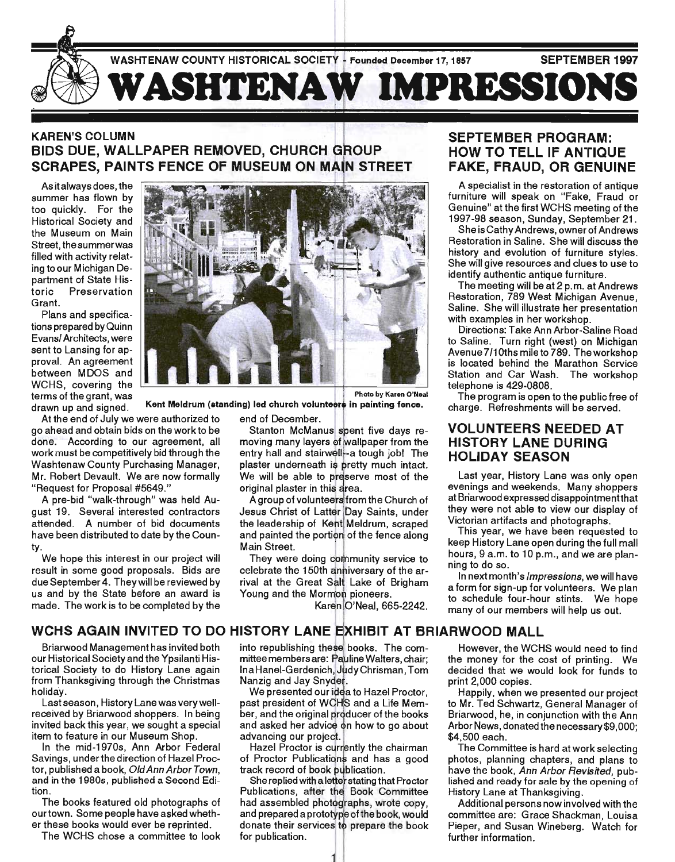

#### KAREN'S COLUMN BIDS DUE, WALLPAPER REMOVED, CHURCH SCRAPES, PAINTS FENCE OF MUSEUM ON MAIN STREET

As it always does, the summer has flown by too quickly. For the Historical Society and the Museum on Main Street, the summer was filled with activity relating to our Michigan Department of State Historic Preservation Grant.

Plans and specifications prepared by Quinn Evansl Architects, were sent to Lansing for approval. An agreement between MDOS and WCHS, covering the

At the end of July we were authorized to end of December. "Request for Proposal #5649."

A pre-bid "walk-through" was held August 19. Several interested contractors attended. A number of bid documents have been distributed to date by the County.

We hope this interest in our project will result in some good proposals. Bids are due September 4. They will be reviewed by us and by the State before an award is made. The work is to be completed by the



Photo by Karen O'Neal

terms of the grant, was . Kent Meldrum (standing) led church volunteers in painting fence.

go ahead and obtain bids on the work to be Stanton McManus spent five days redone. According to our agreement, all moving many layers of wallpaper from the work must be competitively bid through the entry hall and stairwell-a tough job! The entry hall and stairwell--a tough job! The Washtenaw County Purchasing Manager, plaster underneath is pretty much intact. Mr. Robert Devault. We are now formally We will be able to preserve most of the original plaster in this area.

A group of volunteers from the Church of Jesus Christ of Latter Day Saints, under the leadership of Kent Meldrum, scraped and painted the portion of the fence along Main Street.

They were doing community service to celebrate the 150th anniversary of the arrival at the Great Salt Lake of Brigham Young and the Mormon pioneers.

Karen O'Neal, 665-2242.

#### SEPTEMBER PROGRAM: HOW TO TELL IF ANTIQUE FAKE, FRAUD, OR GENUINE

A specialist in the restoration of antique furniture will speak on "Fake, Fraud or Genuine" at the first WCHS meeting of the 1997-98 season, Sunday, September 21.

She is Cathy Andrews, owner of Andrews Restoration in Saline. She will discuss the history and evolution of furniture styles. She will give resources and clues to use to identify authentic antique furniture.

The meeting will be at 2 p. m. at Andrews Restoration, 789 West Michigan Avenue, Saline. She will illustrate her presentation with examples in her workshop.

Directions: Take Ann Arbor-Saline Road to Saline. Turn right (west) on Michigan Avenue 7/1 Oths mile to 789. The workshop is located behind the Marathon Service Station and Car Wash. The workshop telephone is 429-0808.

The program is open to the public free of charge. Refreshments will be served.

#### VOLUNTEERS NEEDED AT HISTORY LANE DURING HOLIDAY SEASON

Last year, History Lane was only open evenings and weekends. Many shoppers at Briarwood expressed disappointment that they were not able to view our display of Victorian artifacts and photographs.

This year, we have been requested to keep History Lane open during the full mall hours, 9 a.m. to 10 p.m., and we are planning to do so.

In next month's Impressions, we will have a form for sign-up for volunteers. We plan to schedule four-hour stints. We hope many of our members will help us out.

## WCHS AGAIN INVITED TO DO HISTORY LANE EXHIBIT AT BRIARWOOD MALL

Briarwood Management has invited both our Historical Society and the Ypsilanti Historical Society to do History Lane again from Thanksgiving through the Christmas holiday.

Last season, History Lane was very wellreceived by Briarwood shoppers. In being invited back this year, we sought a special item to feature in our Museum Shop.

In the mid-1970s, Ann Arbor Federal Savings, under the direction of Hazel Proctor, published a book, Old Ann Arbor Town, and in the 19805, published a Second Edition.

The books featured old photographs of our town. Some people have asked whether these books would ever be reprinted.

The WCHS chose a committee to look

into republishing these books. The committee members are: Pauline Walters, chair; Ina Hanel-Gerdenich, Judy Chrisman, Tom Nanzig and Jay

We presented our idea to Hazel Proctor, past president of WCHS and a Life Member, and the original producer of the books and asked her how to go about advancing our project.

Hazel Proctor is currently the chairman of Proctor Publications and has a good track record of book publication.

She replied with a letter stating that Proctor Publications, after the Book Committee History Lane at Thanksgiving. had assembled photographs, wrote copy,<br>and prepared a prototype of the book, would donate their services to prepare the book for publication.

111

However, the WCHS would need to find the money for the cost of printing. We decided that we would look for funds to print 2,000 copies.

Happily, when we presented our project to Mr. Ted Schwartz, General Manager of Briarwood, he, in conjunction with the Ann Arbor News, donated the necessary \$9,000; \$4,500 each.

The Committee is hard at work selecting photos, planning chapters, and plans to have the book, Ann Arbor Revisited, published and ready for sale by the opening of

Additional persons now involved with the committee are: Grace Shackman, Louisa Pieper, and Susan Wineberg. Watch for further information.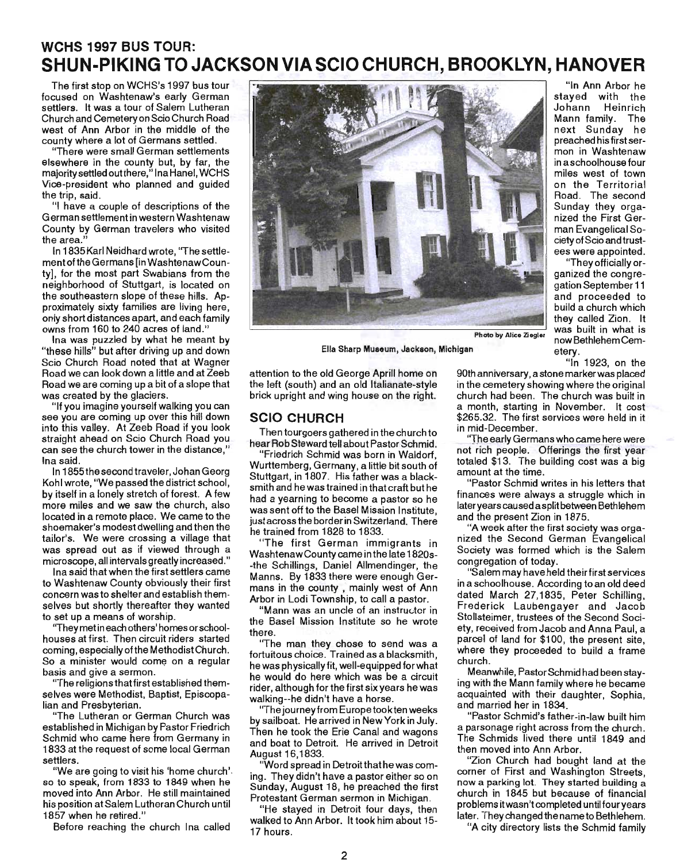## **WCHS 1997 BUS TOUR: SHUN-PIKING TO JACKSON VIA SCIO CHURCH, BROOKLYN, HANOVER**

The first stop on WCHS's 1997 bus tour focused on Washtenaw's early German settlers. It was a tour of Salem Lutheran Church and Cemetery on Scio Church Road west of Ann Arbor in the middle of the county where a lot of Germans settled.

"There were small German settlements elsewhere in the county but, by far, the majority settled outthere," Ina Hanel, WCHS Vice-president who planned and guided the trip, said.

"I have a couple of descriptions of the German settlement in western Washtenaw County by German travelers who visited the area."

In 1835 Karl Neidhard wrote, "The settlementofthe Germans [in WashtenawCounty], for the most part Swabians from the neighborhood of Stuttgart, is located on the southeastern slope of these hills. Approximately sixty families are living here, only short distances apart, and each family owns from 160 to 240 acres of land."

Ina was puzzled by what he meant by "these hills" but after driving up and down Scio Church Road noted that at Wagner Road we can look down a little and at Zeeb Road we are coming up a bit of a slope that was created by the glaciers.

"If you imagine yourself walking you can see you are coming up over this hill down into this valley. At Zeeb Road if you look straight ahead on Scio Church Road you. can see the church tower in the distance," Ina said.

In 1855the second traveler, Johan Georg Kohl wrote, 'We passed the district school, by itself in a lonely stretch of forest. A few more miles and we saw the church, also located in a remote place. We came to the shoemaker's modest dwelling and then the tailor's. We were crossing a village that was spread out as if viewed through a microscope, all intervals greatly increased."

Ina said that when the first settlers came to Washtenaw County obviously their first concern was to shelter and establish themselves but shortly thereafter they wanted to set up a means of worship.

''They met in each others' homes or schoolhouses at first. Then circuit riders started coming, especiallyofthe MethodistChurch. So a minister would come on a regular basis and give a sermon.

"The religions that first established themselves were Methodist, Baptist, Episcopalian and Presbyterian.

"The Lutheran or German Church was established in Michigan by Pastor Friedrich Schmid who came here from Germany in 1833 at the request of some local German settlers.

"We are going to visit his 'home church'. so to speak, from 1833 to 1849 when he moved into Ann Arbor. He still maintained his position at Salem Lutheran Church until 1857 when he retired."

Before reaching the church Ina called



Ella Sharp Museum, Jackson, Michigan etery. "In 1923, on the

"In Ann Arbor he stayed with the Johann Heinrich Mann family. The next Sunday he preached his first sermon in Washtenaw in a schoolhouse four miles west of town on the Territorial Road. The second Sunday they organized the First German Evangelical Society of Scio and trustees were appointed. "They officially organized the congregation September 11 and proceeded to build a church which they called Zion. It

attention to the old George Aprill home on the left (south) and an old Italianate-style brick upright and wing house on the right.

#### **SCIO CHURCH**

Then tourgoers gathered in the church to hear Rob Steward tell about Pastor Schmid.

"Friedrich Schmid was born in Waldorf, Wurttemberg, Germany, a little bit south of Stuttgart, in 1807. His father was a blacksmith and he was trained in that craft but he had a yearning to become a pastor so he was sent off to the Basel Mission Institute. just across the border in Switzerland. There he trained from 1828 to 1833.

"The first German immigrants in WashtenawCounty came in the late 1820s- -the Schillings, Daniel Allmendinger, the Manns. By 1833 there were enough Germans in the county , mainly west of Ann Arbor in Lodi Township, to call a pastor.

"Mann was an uncle of an instructor in the Basel Mission Institute so he wrote there.

''The man they chose to send was a fortuitous choice. Trained as a blacksmith, he was physically fit, well-equipped for what he would do here which was be a circuit rider, although for the first six years he was walking--he didn't have a horse.

''The journey from Europe tookten weeks by sailboat. He arrived in New York in July. Then he took the Erie Canal and wagons and boat to Detroit. He arrived in Detroit August 16,1833.

"Word spread in Detroit that he was coming. They didn't have a pastor either so on Sunday, August 18, he preached the first Protestant German sermon in Michigan.

"He stayed in Detroit four days, then walked to Ann Arbor. It took him about 15- 17 hours.

90th anniversary, a stone marker was placed in the cemetery showing where the original church had been. The church was built in a month, starting in November. It cost \$265.32. The first services were held in it in mid-December.

The early Germans who came here were not rich people. Offerings the first year totaled \$13. The building cost was a big amount at the time.

"Pastor Schmid writes in his letters that finances were always a struggle which in later years caused a split between Bethlehem and the present Zion in 1875.

"A week after the first society was organized the Second German Evangelical Society was formed which is the Salem congregation of today.

"Salem may have held their first services in a schoolhouse. According to an old deed dated March 27,1835, Peter Schilling, Frederick Laubengayer and Jacob Stollsteimer, trustees of the Second Society, received from Jacob and Anna Paul, a parcel of land for \$100, the present site, where they proceeded to build a frame church.

Meanwhile, Pastor Schmid had been staying with the Mann family where he became acquainted with their daughter, Sophia, and married her in 1834.

"Pastor Schmid's father-in-law built him a parsonage right across from the church. The Schmids lived there until 1849 and then moved into Ann Arbor.

"Zion Church had bought land at the corner of First and Washington Streets, now a parking lot. They started building a church in 1845 but because of financial problems it wasn't completed until fouryears later. They changed the nameto Bethlehem.

"A city directory lists the Schmid family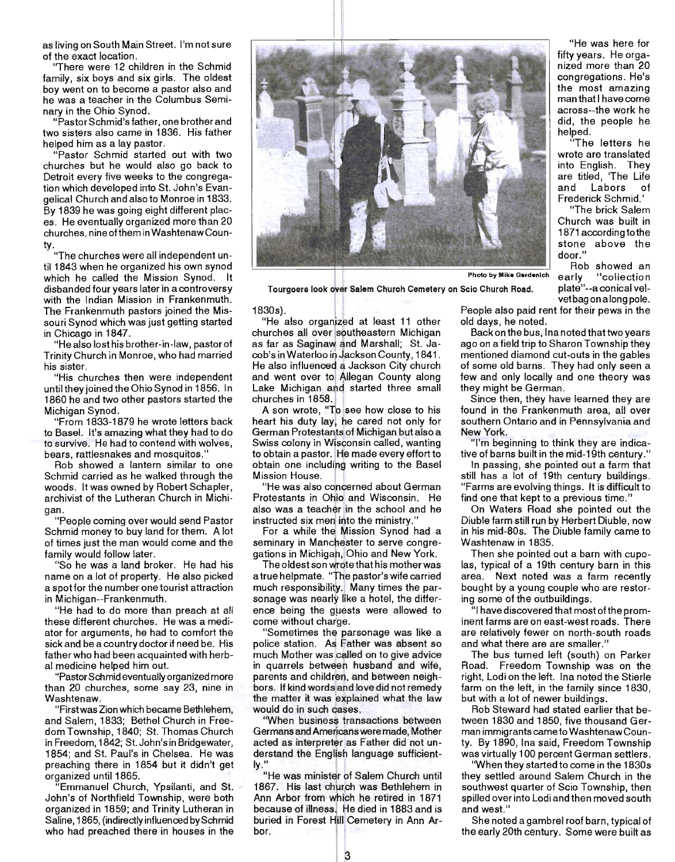as living on South Main Street. I'm not sure of the exact location.

"There were 12 children in the Schmid family, six boys and six girls. The oldest boy went on to become a pastor also and he was a teacher in the Columbus Seminary in the Ohio Synod.

"Pastor Schmid's father, one brother and two sisters also came in 1836. His father helped him as a lay pastor.

"Pastor Schmid started out with two churches but he would also go back to Detroit every five weeks to the congregation which developed into St. John's Evangelical Church and also to Monroe in 1833. By 1839 he was going eight different places. He eventually organized more than 20 churches, nine ofthem in WashtenawCounty.

"The churches were all independent until 1843 when he organized his own synod til 1843 when he organized his own synod<br>which he called the Mission Synod. It disbanded four years later in a controversy with the Indian Mission in Frankenmuth. The Frankenmuth pastors joined the Missouri Synod which was just getting started in Chicago in 1847.

"He also lost his brother-in-law, pastor of Trinity Church in Monroe, who had married his sister.

"His churches then were independent until they joined the Ohio Synod in 1856. In 1860 he and two other pastors started the Michigan Synod.

"From 1833-1879 he wrote letters back to Basel. It's amazing what they had to do to survive. He had to contend with wolves, bears, rattlesnakes and mosquitos."

Rob showed a lantern similar to one Schmid carried as he walked through the woods. It was owned by Robert Schapler, archivist of the Lutheran Church in Michigan.

"People coming over would send Pastor Schmid money to buy land for them. A lot of times just the man would come and the family would follow later.

"So he was a land broker. He had his name on a lot of property. He also picked a spot for the number one tourist attraction in Michigan--Frankenmuth.

"He had to do more than preach at all these different churches. He was a mediator for arguments, he had to comfort the sick and be a country doctor if need be. His father who had been acquainted with herbal medicine helped him out.

"Pastor Schmid eventually organized more than 20 churches, some say 23, nine in Washtenaw.

"First was Zion which became Bethlehem, and Salem, 1833; Bethel Church in Freedom Township, 1840; St. Thomas Church in Freedom, 1842; St. John's in Bridgewater, 1854; and St. Paul's in Chelsea. He was preaching there in 1854 but it didn't get organized until 1865.

"Emmanuel Church, Ypsilanti, and St. John's of Northfield Township, were both organized in 1859; and Trinity Lutheran in Saline, 1865, (indirectly influenced by Schmid who had preached there in houses in the



Tourgoers look over Salem Church Cemetery on Scio Church Road.

#### 1830s).

"He also organized at least 11 other churches all over southeastern Michigan as far as Saginaw and Marshall; St. Jacob's in Waterloo in Jackson County, 1841. He also influenced a Jackson City church and went over to Allegan County along Lake Michigan and started three small churches in 18

A son wrote, "To see how close to his heart his duty lay, he cared not only for German Protestants of Michigan but also a Swiss colony in Wisconsin called, wanting to obtain a pastor. He made every effort to obtain one including writing to the Basel Mission House.

"He was also concerned about German Protestants in Ohio and Wisconsin. He also was a teacher in the school and he instructed six men into the ministry."

For a while the Mission Synod had a seminary in Manchester to serve congregations in Michigah, Ohio and New York.

The oldest son wrote that his mother was a true helpmate. "The pastor's wife carried much responsibility. Many times the parsonage was nearly like a hotel, the difference being the guests were allowed to come without charge.

"Sometimes the parsonage was like a police station. As Father was absent so much Mother was called on to give advice in quarrels between husband and wife, parents and children, and between neighbors. If kind words and love did not remedy the matter it was explained what the law would do in such cases.

"When business transactions between Germans and Americans were made, Mother acted as interpreter as Father did not understand the English language sufficientlerstand the English language sufficient-<br>y.''<br> "He was minister of Salem Church until

1867. His last church was Bethlehem in Ann Arbor from which he retired in 1871 because of illness. He died in 1883 and is buried in Forest Hill Cemetery in Ann Arbor. <sup>~</sup>

"He was here for fifty years. He organized more than 20 congregations. He's the most amazing man that I have come across--the work he did, the people he helped.

"The letters he wrote are translated into English. They are titled, 'The Life and Labors of Frederick Schmid.'

"The brick Salem Church was built in 1871 according to the stone above the door."

Rob showed an early "collection plate" -- a conical velvet bag on along pole.

People also paid rent for their pews in the old days, he noted.

Back on the bus, Ina noted that two years ago on a field trip to Sharon Township they mentioned diamond cut-outs in the gables of some old barns. They had only seen a few and only locally and one theory was they might be German.

Since then, they have learned they are found in the Frankenmuth area, all over southern Ontario and in Pennsylvania and New York.

"I'm beginning to think they are indicative of barns built in the mid-19th century."

In passing, she pointed out a farm that still has a lot of 19th century buildings. "Farms are evolving things. It is difficult to find one that kept to a previous time."

On Waters Road she pointed out the Diuble farm still run by Herbert Diuble. now in his mid-80s. The Diuble family came to Washtenaw in 1835.

Then she pointed out a barn with cupolas, typical of a 19th century barn in this area. Next noted was a farm recently bought by a young couple who are restoring some of the outbuildings.

"I have discovered that most of the prominent farms are on east-west roads. There are relatively fewer on north-south roads and what there are are smaller."

The bus turned left (south) on Parker Road. Freedom Township was on the right, Lodi on the left. Ina noted the Stierle farm on the left, in the family since 1830, but with a lot of newer buildings.

Rob Steward had stated earlier that between 1830 and 1850, five thousand German immigrants came to WashtenawCounty. By 1890, Ina said, Freedom Township was virtually 100 percent German settlers.

"When they started to come in the 1830s they settled around Salem Church in the southwest quarter of Scio Township, then spilled over into Lodi and then moved south and west."

She noted a gambrel roof barn, typical of the early 20th century. Some were built as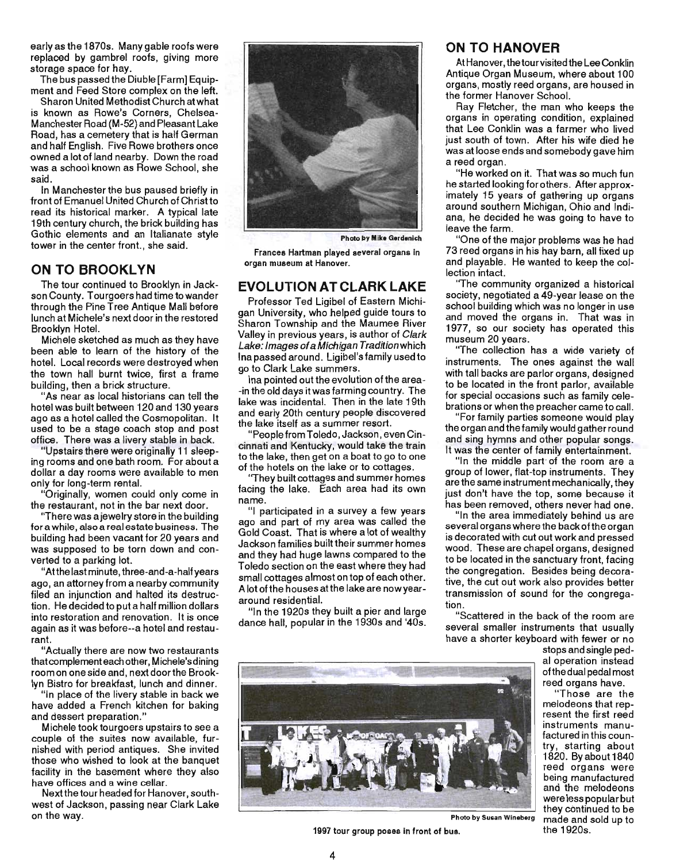early as the 1870s. Many gable roofs were replaced by gambrel roofs, giving more storage space for hay.

The bus passed the Diuble [Farm] Equipment and Feed Store complex on the left.

Sharon United Methodist Church at what is known as Rowe's Corners, Chelsea-Manchester Road (M-52) and Pleasant Lake Road, has a cemetery that is half German and half English. Five Rowe brothers once owned a lot of land nearby. Down the road was a school known as Rowe School, she said.

In Manchester the bus paused briefly in front of Emanuel United Church of Christ to read its historical marker. A typical late 19th century church, the brick building has Gothic elements and an Italianate style tower in the center front., she said.

#### **ON TO BROOKLYN**

The tour continued to Brooklyn in Jackson County. T ourgoers had time to wander through the Pine Tree Antique Mall before lunch at Michele's next door in the restored Brooklyn Hotel.

Michele sketched as much as they have been able to learn of the history of the hotel. Local records were destroyed when the town hall burnt twice, first a frame building, then a brick structure.

"As near as local historians can tell the hotel was built between 120 and 130 years ago as a hotel called the Cosmopolitan. It used to be a stage coach stop and post office. There was a livery stable in back.

"Upstairs there were originally 11 sleeping rooms and one bath room. For about a dollar a day rooms were available to men only for long-term rental. .

"Originally, women could only come in the restaurant, not in the bar next door.

"There was a jewelry store in the building for a while, also a real estate business. The building had been vacant for 20 years and was supposed to be torn down and converted to a parking lot.

"At the last minute, three-and-a-halfyears ago, an attorney from a nearby community filed an injunction and halted its destruction. He decided to put a half million dollars into restoration and renovation. It is once again as it was before--a hotel and restaurant.

"Actually there are now two restaurants that complement each other, Michele's dining room on one side and, next door the Brooklyn Bistro for breakfast, lunch and dinner.

"In place of the livery stable in back we have added a French kitchen for baking and dessert preparation."

Michele took tourgoers upstairs to see a couple of the suites now available, furnished with period antiques. She invited those who wished to look at the banquet facility in the basement where they also have offices and a wine cellar.

Nextthe tour headed for Hanover, southwest of Jackson, passing near Clark Lake on the way.



**Photo by Mike Gerdenich** 

Frances Hartman played several organs In organ museum at Hanover.

#### **EVOLUTION AT CLARK LAKE**

Professor Ted Ligibel of Eastern Michigan University, who helped guide tours to Sharon Township and the Maumee River Valley in previous years, is author of Clark Lake: Images of a Michigan Tradition which Ina passed around. Ligibel's family used to go to Clark Lake summers.

Ina pointed out the evolution of the area- -in the old days it was farming country. The lake was incidental. Then in the late 19th and early 20th century people discovered the lake itself as a summer resort.

"People from Toledo, Jackson, even Cincinnati and Kentucky, would take the train to the lake, then get on a boat to go to one of the hotels on the lake or to cottages.

"They built cottages and summer. homes facing the lake. Each area had its own name.

"I participated in a survey a few years ago and part of my area was called the Gold Coast. That is where a lot of wealthy Jackson families built their summer homes and they had huge lawns compared to the Toledo section on the east where they had small cottages almost on top of each other. A lot of the houses atthe lake are now year around residential.

"In the 1920s they built a pier and large dance hall, popular in the 1930s and '40s.

#### **ON TO HANOVER**

At Hanover, the tour visited the Lee Conklin Antique Organ Museum, where about 100 organs, mostly reed organs, are housed in the former Hanover School.

Rav Fletcher, the man who keeps the organs in operating condition, explained that Lee Conklin was a farmer who lived just south of town. After his wife died he was at loose ends and somebody gave him a reed organ.

"He worked on it. That was so much fun he started looking for others. After approximately 15 years of gathering up organs around southern Michigan, Ohio and Indiana, he decided he was going to have to leave the farm.

"One of the major problems was he had 73 reed organs in his hay barn, all fixed up and playable. He wanted to keep the collection intact.

"The community organized a historical society, negotiated a 49-year lease on the school building which was no longer in use and moved the organs in. That was in 1977, so our society has operated this museum 20 years.

"The collection has a wide variety of instruments. The ones against the wall with tall backs are parlor organs, designed to be located in the front parlor, available for special occasions such as family celebrations or when the preacher came to call.

"For family parties someone would play the organ and the family would gather round and sing hymns and other popular songs. It was the center of family entertainment.

"In the middle part· of the room are a group of lower, flat-top instruments. They are the same instrument mechanically, they just don't have the top, some because it has been removed, others never had one.

"In the area immediately behind us are several organs where the back of the organ is decorated with cut out work and pressed wood. These are chapel organs, designed to be located in the sanctuary front, facing the congregation. Besides being decorative, the cut out work also provides better transmission of sound for the congregation.

"Scattered in the back of the room are several smaller instruments that usually have a shorter keyboard with fewer or no

stops and single pedal operation instead ofthe dual pedal most reed organs have.

"Those are the melodeons that represent the first reed instruments manufactured in this country, starting about 1820. Byabout1840 reed organs were being manufactured and the melodeons were less popular but they cOntinued to be made and sold up to the 1920s.



1997 tour group poses in front of bus.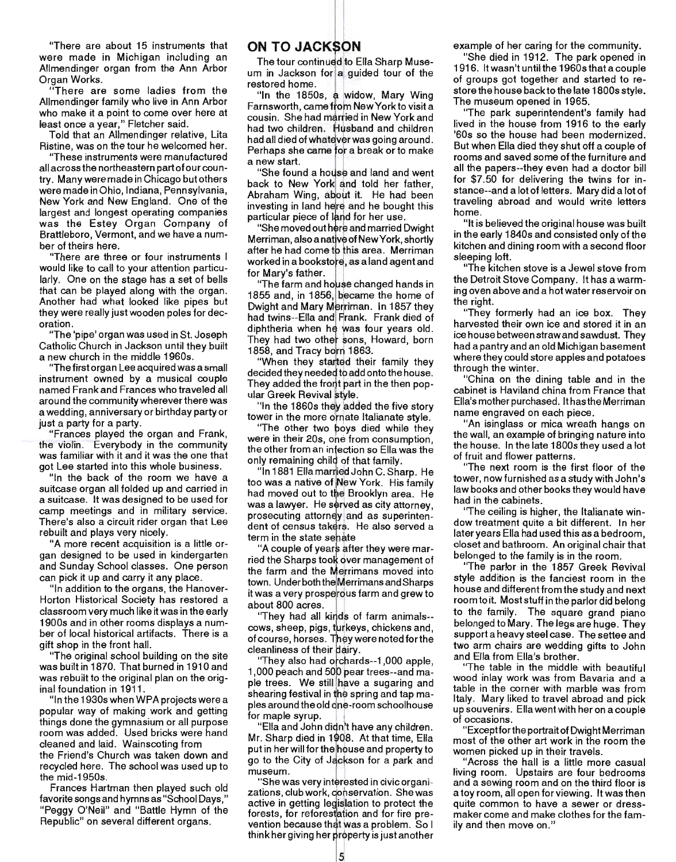"There are about 15 instruments that were made in Michigan including an Allmendinger organ from the Ann Arbor Organ Works.

"There are some ladies from the Allmendinger family who live in Ann Arbor who make it a point to come over here at least once a year," Fletcher said.

Told that an Allmendinger relative, Lita Ristine, was on the tour he welcomed her.

"These instruments were manufactured all across the northeastern part of our country. Many were made in Chicago but others were made in Ohio, Indiana, Pennsylvama, New York and New England. One of the largest and longest operating companies was the Estey Organ Company of Brattleboro, Vermont, and we have a number of theirs here.

"There are three or four instruments I would like to call to your attention particularly. One on the stage has a set of bells that can be played along with the organ. Another had what looked like pipes but they were really just wooden poles for decoration.

"The 'pipe' organ was used in St. Joseph Catholic Church in Jackson until they built a new church in the middle 1960s.

"The first organ Lee acquired was a small instrument owned by a musical couple named Frank and Frances who traveled all around the community wherever there was a wedding, anniversary or birthday party or just a party for a party.

"Frances played the organ and Frank, the violin. Everybody in the community was familiar with it and it was the one that got Lee started into this whole business.

"In the back of the room we have a suitcase organ all folded up and carried in a suitcase. It was designed to be used for camp meetings and in military service. There's also a circuit rider organ that Lee rebuilt and plays very nicely.

"A more recent acquisition is a little organ designed to be used in kindergarten and Sunday School classes. One person can pick it up and carry it any place.

"In addition to the organs, the Hanover-Horton Historical Society has restored a classroom very much like it was in the early 1900s and in other rooms displays a number of local historical artifacts. There is a gift shop in the front hall.

'The original school building on the site was built in 1870. That burned in 1910 and was rebuilt to the original plan on the original foundation in 1911.

"In the 1930s when WPA projects were a popular way of making work and getting things done the gymnasium or all purpose room was added. Used bricks were hand cleaned and laid. Wainscoting from the Friend's Church was taken down and recycled here. The school was used up to the mid-1950s.

Frances Hartman then played such old favorite songs and hymns as "School Days," "Peggy O'Neil" and "Battle Hymn of the Republic" on several different organs.

#### ON TO JACKSON

The tour continued to Ella Sharp Museum in Jackson for a guided tour of the restored home.

"In the 1850s, a widow, Mary Wing Farnsworth, came from New York to visit a cousin. She had married in New York and had two children. Husband and children had all died of whatever was going around. Perhaps she came for a break or to make a new start.<br>I "She found a house and land and went"

back to New York and told her father, Abraham Wing, about it. He had been investing in land here and he bought this particular piece of land for her use.

"She moved out here and married Dwight Merriman, also a native of New York, shortly after he had come to this area. Merriman worked in a bookstore, as a land agent and for Mary's father.

"The farm and house changed hands in 1855 and, in 1856, became the home of Dwight and Mary Merriman. In 1857 they had twins--Ella and Frank. Frank died of diphtheria when he was four years old. They had two other sons, Howard, born 1858, and Tracy born 1863.

"When they started their family they decided they needed to add onto the house. They added the front part in the then popular Greek Revival style.

"In the 1860s they added the five story tower in the more ornate Italianate style.

"The other two boys died while they<br>were in their 20s, one from consumption,<br>the other from an infection so Ella was the the other from an infection so Ella was the only remaining child of that family.

"In 1881 Ella mar rledJohn C. Sharp. He too was a native of New York. His family had moved out to the Brooklyn area. He was a lawyer. He served as city attorney, prosecuting attorney and as superintendent of census takers. He also served a term in the state senate

'A couple of years after they were married the Sharps took over management of the farm and the Merrimans moved into town. Under both the Merrimans and Sharps it was a very prosperous farm and grew to about 800 acres.

'They had all kinds of farm animals-cows, sheep, pigs, turkeys, chickens and, of course, horses. They were noted for the cleanliness of their dairy.

'They also had orchards--1,000 apple, 1,000 peach and 500 pear trees--and maple trees. We still have a sugaring and shearing festival in the spring and tap maples around the old one-room schoolhouse for maple syrup.

"Ella and John didn't have any children. Mr. Sharp died in 1 08. At that time, Ella l908<br>aho<br>ack<br>tere<br>con<br>dist put in her will for the house and property to go to the City of Jackson for a park and museum. .

"She was very interested in civic organizations, club work, conservation. She was active in getting legislation to protect the<br>forests, for reforestation and for fire prevention because that was a problem. So I think her giving her property is just another

example of her caring for the community.

"She died in 1912. The park opened in 1916. It wasn't until the 1960s that a couple of groups got together and started to restore the house back to the late 1800s style. The museum opened in 1965.

"The park superintendent's family had lived in the house from 1916 to the early '60s so the house had been modernized. But when Ella died they shut off a couple of rooms and saved some of the furniture and all the papers--they even had a doctor bill for \$7.50 for delivering the twins for instance--and a lot of letters. Mary did a lot of traveling abroad and would write letters home.

"It is believed the original house was built in the early 1840s and consisted only of the kitchen and dining room with a second floor sleeping loft.

"The kitchen stove is a Jewel stove from the Detroit Stove Company. It has a warming oven above and a hot water reservoir on the right.

"They formerly had an ice box. They harvested their own ice and stored it in an ice house between straw and sawdust. They had a pantry and an old Michigan basement where they could store apples and potatoes through the winter. .

"China on the dining table and in the cabinet is Haviland china from France that Ella's mother purchased. It hasthe Merriman name engraved on each piece.

"An isinglass or mica wreath hangs. on the wall, an example of bringing nature into the house. In the late 1800s they used a lot of fruit and flower patterns.

"The next room is the first floor of the tower, now furnished as a study with John's law books and other books they would have had in the cabinets.

''The ceiling is higher, the Italianate window treatment quite a bit different. In her later years Ella had used this as a bedroom, closet and bathroom. An original chair that belonged to the family is in the room. .

"The parlor in the 1857 Greek ReVival style addition is the fanciest room in the house and different from the study and next room to it. Most stuff in the parlor did belong to the family. The square grand piano belonged to Mary. The legs are huge. They support a heavy steel case. The settee and two arm chairs are wedding gifts to John and Ella from Ella's brother.

The table in the middle with beautiful wood inlay work was from Bavaria and a table in the corner with marble was from Italy. Mary liked to travel abroad and pick up souvenirs. Ella went with her on a couple of occasions.

"Exceptfor the portrait of Dwight Merriman most of the other art work in the room the women picked up in their travels.

"Across the hall is a little more casual living room. Upstairs are four bedrooms and a sewing room and on the third floor is a toy room, all open for viewing. It was then quite common to have a sewer or dressmaker come and make clothes for the family and then move on."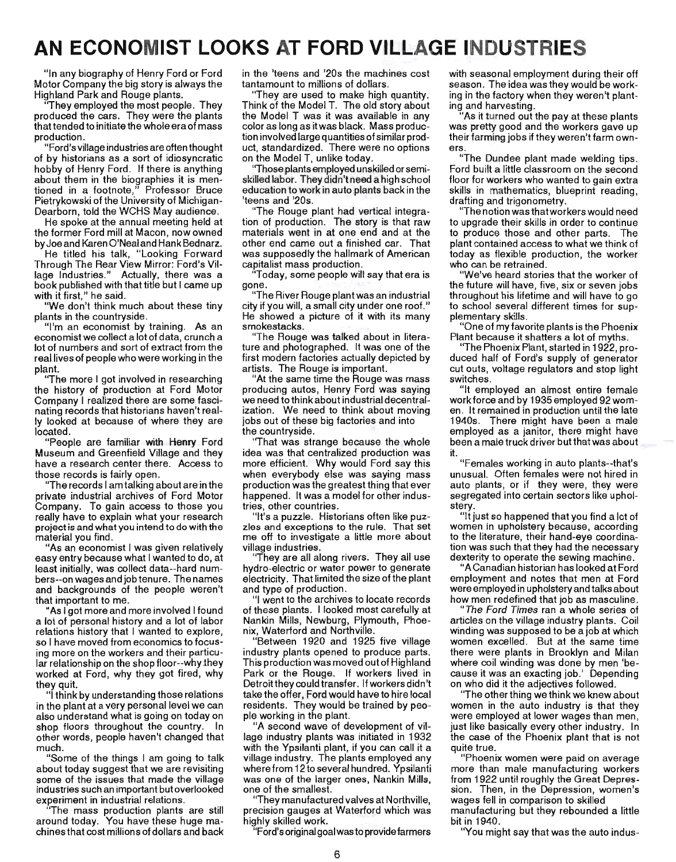# **AN ECONOMIST LOOKS AT FORD VILLAGE INDUSTRIES**

"In any biography of Henry Ford or Ford Motor Company the big story is always the Highland Park and Rouge plants.

They employed the most people. They produced the cars. They were the plants that tended to initiate the whole era of mass production.

"Ford's village industries are often thought of by historians as a sort of idiosyncratic hobby of Henry Ford. If there is anything about them in the biographies it is mentioned in a footnote," Professor Bruce Pietrykowski of the University of Michigan-Dearborn, told the WCHS May audience.

He spoke at the annual meeting held at the former Ford mill at Macon, now owned by Joe and Karen O'Neal and Hank Bednarz.

He titled his talk, " Looking Forward Through The Rear View Mirror: Ford's Village Industries." Actually, there was a book published with that title but I came up with it first," he said.

"We don't think much about these tiny plants in the countryside.

"I'm an economist by training. As an economist we collect a lot of data, crunch a lot of numbers and sort of extract from the real lives of people who were working in the plant. ''The more I got involved in researching

the history of production at Ford Motor Company I realized there are some fascinating records that historians haven't really looked at because of where they are located.

"People are familiar with Henry Ford Museum and Greenfield Village and they have a research center there. Access to those records is fairly open.

''The records I am talking about are in the private industrial archives of Ford Motor Company. To gain access to those you really have to explain what your research project is and what you intend to do with the material you find.

"As an economist I was given relatively easy entry because what I wanted to do, at least initially, was collect data--hard numbers--on wages and job tenure. The names and backgrounds of the people weren't that important to me.

"As I got more and more involved I found a lot of personal history and a lot of labor relations history that I wanted to explore, so I have moved from economics to focusing more on the workers and their particular relationship on the shop floor--why they worked at Ford, why they got fired, why romou ut.<br>hev quit

y quit,<br>I think by understanding those relations in the plant at a very personal level we can also understand what is going on today on shop floors throughout the country. other words, people haven't changed that much.

"Some of the things I am going to talk about today suggest that we are revisiting some of the issues that made the village industries such an important but overlooked experiment in industrial relations.

ommom in induction rotations.<br>The mass production plants are still around today. You have these huge machines that cost millions of dollars and back

in the 'teens and '20s the machines cost tantamount to millions of dollars.

''They are used to make high quantity. Think of the Model T. The old story about the Model T was it was available in any color as long as it was black. Mass production involved large quantities of similar product, standardized. There were no options on the Model T, unlike today.

''Those plants employed unskilled or semiskilled labor. They didn't need a high school education to work in auto plants back in the 'teens and '20s.

"The Rouge plant had vertical integration of production. The story is that raw materials went in at one end and at the other end came out a finished car. That was supposedly the hallmark of American capitalist mass production.

"Today, some people will say that era is gone.

"The River Rouge plant was an industrial city if you will, a small city under one roof." He showed a picture of it with its many smokestacks.

"The Rouge was talked about in literature and photographed. It was one of the first modern factories actually depicted by artists. The Rouge is important.

"At the same time the Rouge was mass producing autos, Henry Ford was saying we need to think about industrial decentralization. We need to think about moving jobs out of these big factories and into the countryside.

''That was strange because the whole idea was that centralized production was more efficient. Why would Ford say this when everybody else was saying mass production was the greatest thing that ever happened. It was a model for other industries, other countries.

"It's a puzzle. Historians often like puzzles and exceptions to the rule. That set me off to investigate a little more about village industries.

They are all along rivers. They all use hydro-electric or water power to generate electricity. That limited the size of the plant and type of production.

"I went to the archives to locate records of these plants. I looked most carefully at Nankin Mills, Newburg, Plymouth, Phoenix, Waterford and Northville.

"Between 1920 and 1925 five village industry plants opened to produce parts. This production was moved outof Highland Park or the Rouge. If workers lived in Detroit they could transfer. If workers didn't take the offer, Ford would have to hire local residents. They would be trained by people working in the plant.

"A second wave of development of village industry plants was initiated in 1932 with the Ypsilanti plant, if you can call it a village industry. The plants employed any where from 12 to several hundred. Ypsilanti was one of the larger ones, Nankin Mills, one of the smallest.

"They manufactured valves at Northville, precision gauges at Waterford which was highly skilled work.

"Ford's original goal was to provide farmers

with seasonal employment during their off season. The idea was they would be working in the factory when they weren't planting and harvesting.

"As it turned out the pay at these plants was pretty good and the workers gave up their farming jobs if they weren't farm owners.<br>Pre

.<br>The Dundee plant made welding tips. Ford built a little classroom on the second Ford built a little classroom on the second<br>floor for workers who wanted to gain extra skills in mathematics, blueprint reading, drafting and trigonometry.

"The notion was that workers would need to upgrade their skills in order to continue to produce those and other parts. The plant contained access to what we think of today as flexible production, the worker who can be retrained.

"We've heard stories that the worker of the future will have, five, six or seven jobs throughout his lifetime and will have to go to school several different times for supplementary skills.

"One of my favorite plants is the Phoenix Plant because it shatters a lot of myths.

''The Phoenix Plant, started in 1922, produced half of Ford's supply of generator cut outs, voltage regulators and stop light switches.

"It employed an almost entire female work force and by 1935 employed 92 women. It remained in production until the late 1940s. There might have been a male employed as a janitor, there might have been a male truck driver but that was about it.

"Females working in auto plants--that's unusual. Often females were not hired in auto plants, or if they were, they were segregated into certain sectors like upholstery.

"It just so happened that you find a lot of women in upholstery because, according to the literature, their hand-eye coordination was such that they had the necessary dexterity to operate the sewing machine.

"A Canadian historian has looked at Ford employment and notes that men at Ford were employed in upholstery and talks about how men redefined that job as masculine.

" The Ford Times ran a whole series of articles on the village industry plants. Coil winding was supposed to be a job at which women excelled. But at the same time there were plants in Brooklyn and Milan where coil winding was done by men 'because it was an exacting job.' Depending on who did it the adjectives followed.

''The other thing we think we knew about women in the auto industry is that they were employed at lower wages than men, just like basically every other industry. In the case of the Phoenix plant that is not quite true.

"Phoenix women were paid on average more than male manufacturing workers from 1922 until roughly the Great Depression. Then, in the Depression, women's wages fell in comparison to skilled rages for in companion to chillog<br>nanufacturing but they rebounded a little

bit in 1940. bit in 1940.<br>"You might say that was the auto indus-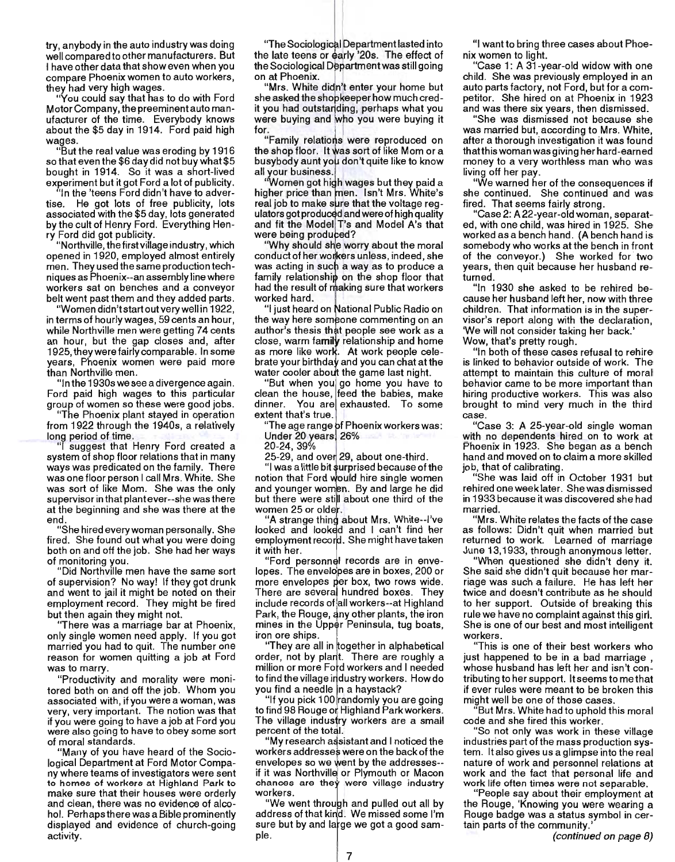try, anybody in the auto industry was doing well compared to other manufacturers. But I have other data that show even when you compare Phoenix women to auto workers, they had very high wages.

"You could say that has to do with Ford Motor Company, the preeminent auto manufacturer of the time. Everybody knows about the \$5 day in 1914. Ford paid high wages.

"But the real value was eroding by 1916 so that even the \$6 day did not buy what \$5 bought in 1914. So it was a short-lived experiment but it got Ford a lot of publicity.

"In the 'teens Ford didn't have to advertise. He got lots of free publicity, lots associated with the \$5 day, lots generated by the cult of Henry Ford. Everything Henry Ford did got publicity.

"Northville, the first village industry, which opened in 1920, employed almost entirely men. They used the same production techniques as Phoenix--an assembly line where workers sat on benches and a conveyor belt went past them and they added parts.

"Women didn't start out very well in 1922, in terms of hourly wages, 59 cents an hour, while Northville men were getting 74 cents an hour, but the gap closes and, after 1925, they were fairly comparable. In some years, Phoenix women were paid more than Northville men.

"In the 1930s we see a divergence again. Ford paid high wages to this particular group of women so these were good jobs.

"The Phoenix plant stayed in operation from 1922 through the 1940s, a relatively long period of time.

I suggest that Henry Ford created a system of shop floor relations that in many ways was predicated on the family. There was one floor person I call Mrs. White. She was sort of like Mom. She was the only supervisor in that plantever--she was there at the beginning and she was there at the end

"She hired every woman personally. She fired. She found out what you were doing both on and off the job. She had her ways of monitoring you.

"Did Northville men have the same sort of supervision? No way! If they got drunk and went to jail it might be noted on their employment record. They might be fired but then again they might not.

''There was a marriage bar at Phoenix, only single women need apply. If you got married you had to quit. The number one reason for women quitting a job at Ford was to marry.

"Productivity and morality were monitored both on and off the job. Whom you associated with, if you were a woman, was very, very important. The notion was that if you were going to have a job at Ford you were also going to have to obey some sort of moral standards.

"Many of you have heard of the Sociological Department at Ford Motor Company where teams of investigators were sent to homes of workers at Highland Park to make sure that their houses were orderly and clean, there was no evidence of alcohol. Perhaps there was a Bible prominently displayed and evidence of church-going activity.

"<br>The Sociological Department lasted into the late teens or early '20s. The effect of the Sociological Department was still going on at Phoenix.

'Mrs. White didn't enter your home but she asked the shopkeeper how much credit you had outstanding, perhaps what you were buying and who you were buying it for.

"Family relations were reproduced on the shop floor. It was sort of like Mom or a busybody aunt you don't quite like to know all your business.

'Women got high wages but they paid a higher price than men. Isn't Mrs. White's real job to make sure that the voltage regulators got produced and were of high quality and fit the Model T's and Model A's that were being produced?

"Why should she worry about the moral conduct of her workers unless, indeed, she was acting in such a way as to produce a family relationship on the shop floor that had the result of making sure that workers worked hard.

"I just heard on National Public Radio on the way here someone commenting on an author's thesis that people see work as a close, warm fa**mily** relationship and home as more like work. At work people celebrate your birthday and you can chat at the water cooler about the game last night.

"But when you go home you have to clean the house, feed the babies, make dinner. You are exhausted. To some extent that's true.

"The age range of Phoenix workers was:

Under 20 years 26%

20-24,39%

25-29, and over 29, about one-third.

"I was a little bit surprised because of the notion that Ford would hire single women and younger women. By and large he did but there were still about one third of the women 25 or older.

"A strange thing about Mrs. White--I've looked and looked and I can't find her employment record. She might have taken it with her.

"Ford personnel records are in envelopes. The envelopes are in boxes, 200 or more envelopes per box, two rows wide. There are several hundred boxes. They include records of all workers--at Highland Park, the Rouge, any other plants, the iron mines in the Upper Peninsula, tug boats, iron ore ships.

"They are all in together in alphabetical order, not by plant. There are roughly a million or more Ford workers and I needed to find the village industry workers. How do you find a needle in a haystack?

"If you pick 100 randomly you are going to find 98 Rouge or Highland Park workers. The village industry workers are a small percent of the total.

"My research assistant and I noticed the workers addresses were on the back of the envelopes so we went by the addresses-if it was Northville or Plymouth or Macon chances are they were village industry workers.

"We went through and pulled out all by address of that kind. We missed some I'm sure but by and large we got a good sample.

"I want to bring three cases about Phoenix women to light.

"Case 1: A 31-year-old widow with one child. She was previously employed in an auto parts factory, not Ford, but for a competitor. She hired on at Phoenix in 1923 and was there six years, then dismissed.

"She was dismissed not because she was married but, according to Mrs. White, after a thorough investigation it was found thatthis woman was giving her hard-earned money to a very worthless man who was living off her pay.

"We warned her of the consequences if she continued. She continued and was fired. That seems fairly strong.

"Case 2: A 22-year-old woman, separated, with one child, was hired in 1925. She worked as a bench hand. (A bench hand is somebody who works at the bench in front of the conveyor.) She worked for two years, then quit because her husband returned.

"In 1930 she asked to be rehired because her husband left her, now with three children. That information is in the supervisor's report along with the declaration, 'We will not consider taking her back.' Wow, that's pretty rough.

"In both of these cases refusal to rehire is linked to behavior outside of work. The attempt to maintain this culture of moral behavior came to be more important than hiring productive workers. This was also brought to mind very much in the third case.

"Case 3: A 25-year-old single woman with no dependents hired on to work at Phoenix in 1923. She began as a bench hand and moved on to claim a more skilled job, that of calibrating.

"She was laid off in October 1931 but rehired one week later. She was dismissed in 1933 because it was discovered she had married.

"Mrs. White relates the facts of the case as follows: Didn't quit when married but returned to work. Learned of marriage June 13,1933, through anonymous letter.

"When questioned she didn't deny it. She said she didn't quit because her marriage was such a failure. He has left her twice and doesn't contribute as he should to her support. Outside of breaking this rule we have no complaint against this girl. She is one of our best and most intelligent workers.

"This is one of their best workers who just happened to be in a bad marriage , whose husband has left her and isn't contributing to her support. It seems to me that if ever rules were meant to be broken this might well be one of those cases.

"But Mrs. White had to uphold this moral code and she fired this worker.

"So not only was work in these village industries part of the mass production system. It also gives us a glimpse into the real nature of work and personnel relations at work and the fact that personal life and work life often times were not separable.

"People say about their employment at the Rouge, 'Knowing you were wearing a Rouge badge was a status symbol in certain parts of the community.